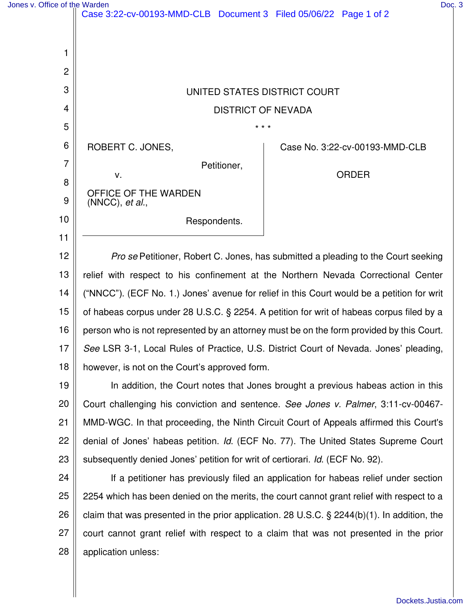| Jones y Office of the Warden |  |  |
|------------------------------|--|--|
|                              |  |  |